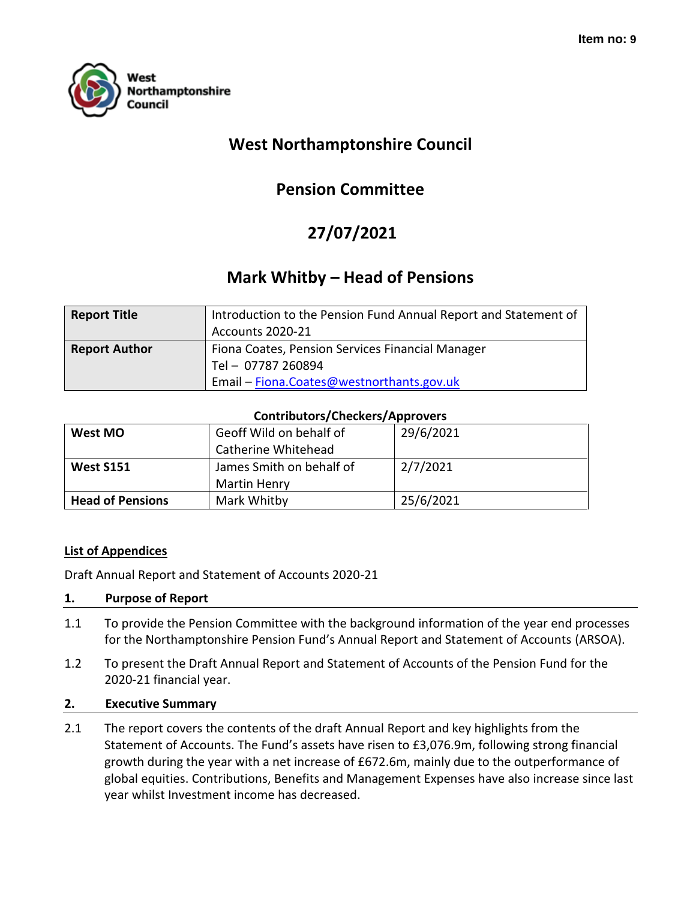

# **West Northamptonshire Council**

# **Pension Committee**

# **27/07/2021**

# **Mark Whitby – Head of Pensions**

| <b>Report Title</b>  | Introduction to the Pension Fund Annual Report and Statement of<br><b>Accounts 2020-21</b> |
|----------------------|--------------------------------------------------------------------------------------------|
| <b>Report Author</b> | Fiona Coates, Pension Services Financial Manager<br>Tel-07787 260894                       |
|                      | Email - Fiona.Coates@westnorthants.gov.uk                                                  |

#### **Contributors/Checkers/Approvers**

| West MO                 | Geoff Wild on behalf of  | 29/6/2021 |
|-------------------------|--------------------------|-----------|
|                         | Catherine Whitehead      |           |
| <b>West S151</b>        | James Smith on behalf of | 2/7/2021  |
|                         | Martin Henry             |           |
| <b>Head of Pensions</b> | Mark Whitby              | 25/6/2021 |

# **List of Appendices**

Draft Annual Report and Statement of Accounts 2020-21

#### **1. Purpose of Report**

- 1.1 To provide the Pension Committee with the background information of the year end processes for the Northamptonshire Pension Fund's Annual Report and Statement of Accounts (ARSOA).
- 1.2 To present the Draft Annual Report and Statement of Accounts of the Pension Fund for the 2020-21 financial year.

# **2. Executive Summary**

2.1 The report covers the contents of the draft Annual Report and key highlights from the Statement of Accounts. The Fund's assets have risen to £3,076.9m, following strong financial growth during the year with a net increase of £672.6m, mainly due to the outperformance of global equities. Contributions, Benefits and Management Expenses have also increase since last year whilst Investment income has decreased.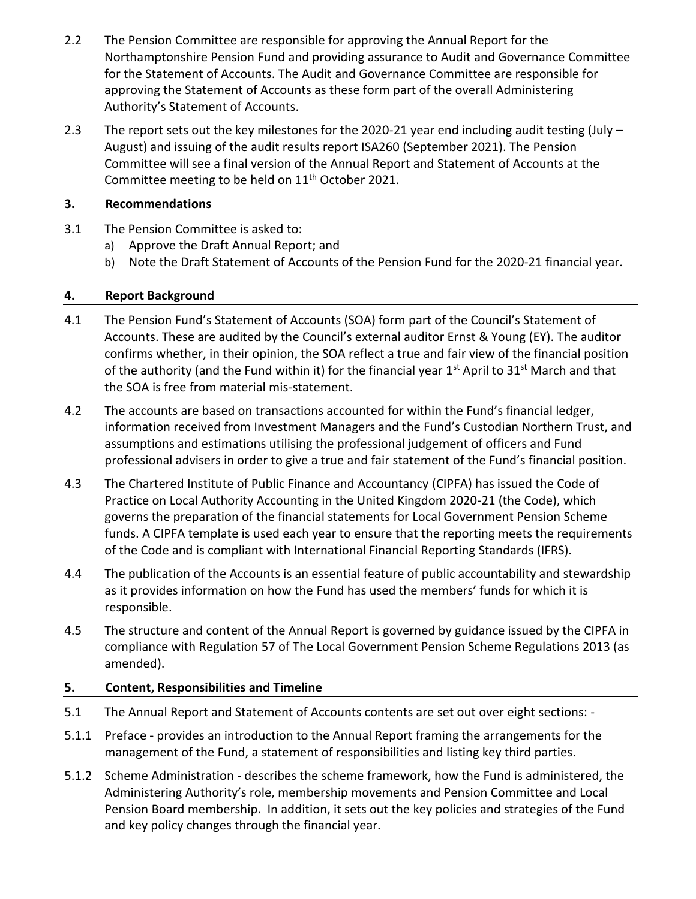- 2.2 The Pension Committee are responsible for approving the Annual Report for the Northamptonshire Pension Fund and providing assurance to Audit and Governance Committee for the Statement of Accounts. The Audit and Governance Committee are responsible for approving the Statement of Accounts as these form part of the overall Administering Authority's Statement of Accounts.
- 2.3 The report sets out the key milestones for the 2020-21 year end including audit testing (July -August) and issuing of the audit results report ISA260 (September 2021). The Pension Committee will see a final version of the Annual Report and Statement of Accounts at the Committee meeting to be held on 11<sup>th</sup> October 2021.

# **3. Recommendations**

- 3.1 The Pension Committee is asked to:
	- a) Approve the Draft Annual Report; and
	- b) Note the Draft Statement of Accounts of the Pension Fund for the 2020-21 financial year.

# **4. Report Background**

- 4.1 The Pension Fund's Statement of Accounts (SOA) form part of the Council's Statement of Accounts. These are audited by the Council's external auditor Ernst & Young (EY). The auditor confirms whether, in their opinion, the SOA reflect a true and fair view of the financial position of the authority (and the Fund within it) for the financial year  $1^{st}$  April to  $31^{st}$  March and that the SOA is free from material mis-statement.
- 4.2 The accounts are based on transactions accounted for within the Fund's financial ledger, information received from Investment Managers and the Fund's Custodian Northern Trust, and assumptions and estimations utilising the professional judgement of officers and Fund professional advisers in order to give a true and fair statement of the Fund's financial position.
- 4.3 The Chartered Institute of Public Finance and Accountancy (CIPFA) has issued the Code of Practice on Local Authority Accounting in the United Kingdom 2020-21 (the Code), which governs the preparation of the financial statements for Local Government Pension Scheme funds. A CIPFA template is used each year to ensure that the reporting meets the requirements of the Code and is compliant with International Financial Reporting Standards (IFRS).
- 4.4 The publication of the Accounts is an essential feature of public accountability and stewardship as it provides information on how the Fund has used the members' funds for which it is responsible.
- 4.5 The structure and content of the Annual Report is governed by guidance issued by the CIPFA in compliance with Regulation 57 of The Local Government Pension Scheme Regulations 2013 (as amended).

# **5. Content, Responsibilities and Timeline**

- 5.1 The Annual Report and Statement of Accounts contents are set out over eight sections: -
- 5.1.1 Preface provides an introduction to the Annual Report framing the arrangements for the management of the Fund, a statement of responsibilities and listing key third parties.
- 5.1.2 Scheme Administration describes the scheme framework, how the Fund is administered, the Administering Authority's role, membership movements and Pension Committee and Local Pension Board membership. In addition, it sets out the key policies and strategies of the Fund and key policy changes through the financial year.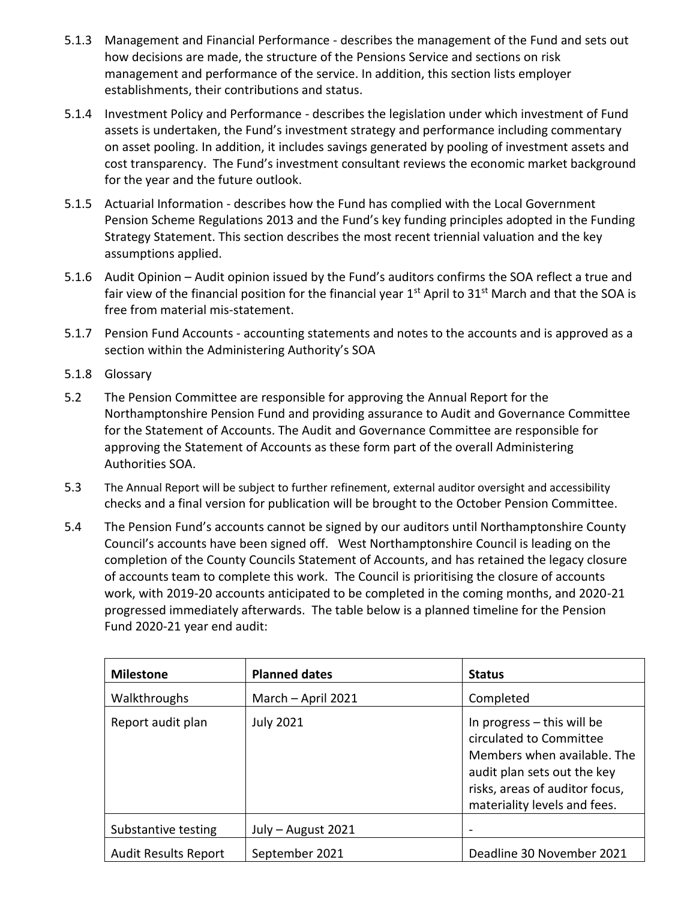- 5.1.3 Management and Financial Performance describes the management of the Fund and sets out how decisions are made, the structure of the Pensions Service and sections on risk management and performance of the service. In addition, this section lists employer establishments, their contributions and status.
- 5.1.4 Investment Policy and Performance describes the legislation under which investment of Fund assets is undertaken, the Fund's investment strategy and performance including commentary on asset pooling. In addition, it includes savings generated by pooling of investment assets and cost transparency. The Fund's investment consultant reviews the economic market background for the year and the future outlook.
- 5.1.5 Actuarial Information describes how the Fund has complied with the Local Government Pension Scheme Regulations 2013 and the Fund's key funding principles adopted in the Funding Strategy Statement. This section describes the most recent triennial valuation and the key assumptions applied.
- 5.1.6 Audit Opinion Audit opinion issued by the Fund's auditors confirms the SOA reflect a true and fair view of the financial position for the financial year  $1<sup>st</sup>$  April to  $31<sup>st</sup>$  March and that the SOA is free from material mis-statement.
- 5.1.7 Pension Fund Accounts accounting statements and notes to the accounts and is approved as a section within the Administering Authority's SOA
- 5.1.8 Glossary
- 5.2 The Pension Committee are responsible for approving the Annual Report for the Northamptonshire Pension Fund and providing assurance to Audit and Governance Committee for the Statement of Accounts. The Audit and Governance Committee are responsible for approving the Statement of Accounts as these form part of the overall Administering Authorities SOA.
- 5.3 The Annual Report will be subject to further refinement, external auditor oversight and accessibility checks and a final version for publication will be brought to the October Pension Committee.
- 5.4 The Pension Fund's accounts cannot be signed by our auditors until Northamptonshire County Council's accounts have been signed off. West Northamptonshire Council is leading on the completion of the County Councils Statement of Accounts, and has retained the legacy closure of accounts team to complete this work. The Council is prioritising the closure of accounts work, with 2019-20 accounts anticipated to be completed in the coming months, and 2020-21 progressed immediately afterwards. The table below is a planned timeline for the Pension Fund 2020-21 year end audit:

| <b>Milestone</b>            | <b>Planned dates</b> | <b>Status</b>                                                                                                                                                                           |
|-----------------------------|----------------------|-----------------------------------------------------------------------------------------------------------------------------------------------------------------------------------------|
| Walkthroughs                | March - April 2021   | Completed                                                                                                                                                                               |
| Report audit plan           | <b>July 2021</b>     | In progress $-$ this will be<br>circulated to Committee<br>Members when available. The<br>audit plan sets out the key<br>risks, areas of auditor focus,<br>materiality levels and fees. |
| Substantive testing         | July - August 2021   |                                                                                                                                                                                         |
| <b>Audit Results Report</b> | September 2021       | Deadline 30 November 2021                                                                                                                                                               |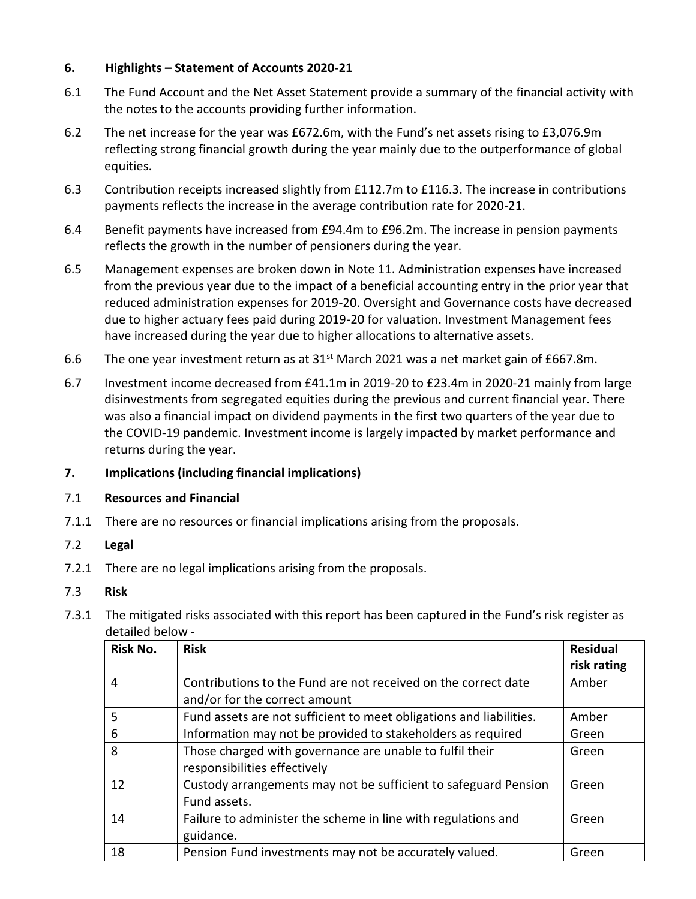#### **6. Highlights – Statement of Accounts 2020-21**

- 6.1 The Fund Account and the Net Asset Statement provide a summary of the financial activity with the notes to the accounts providing further information.
- 6.2 The net increase for the year was £672.6m, with the Fund's net assets rising to £3,076.9m reflecting strong financial growth during the year mainly due to the outperformance of global equities.
- 6.3 Contribution receipts increased slightly from £112.7m to £116.3. The increase in contributions payments reflects the increase in the average contribution rate for 2020-21.
- 6.4 Benefit payments have increased from £94.4m to £96.2m. The increase in pension payments reflects the growth in the number of pensioners during the year.
- 6.5 Management expenses are broken down in Note 11. Administration expenses have increased from the previous year due to the impact of a beneficial accounting entry in the prior year that reduced administration expenses for 2019-20. Oversight and Governance costs have decreased due to higher actuary fees paid during 2019-20 for valuation. Investment Management fees have increased during the year due to higher allocations to alternative assets.
- 6.6 The one year investment return as at  $31<sup>st</sup>$  March 2021 was a net market gain of £667.8m.
- 6.7 Investment income decreased from £41.1m in 2019-20 to £23.4m in 2020-21 mainly from large disinvestments from segregated equities during the previous and current financial year. There was also a financial impact on dividend payments in the first two quarters of the year due to the COVID-19 pandemic. Investment income is largely impacted by market performance and returns during the year.

#### **7. Implications (including financial implications)**

#### 7.1 **Resources and Financial**

7.1.1 There are no resources or financial implications arising from the proposals.

#### 7.2 **Legal**

7.2.1 There are no legal implications arising from the proposals.

#### 7.3 **Risk**

7.3.1 The mitigated risks associated with this report has been captured in the Fund's risk register as detailed below -

| Risk No. | <b>Risk</b>                                                         | <b>Residual</b> |
|----------|---------------------------------------------------------------------|-----------------|
|          |                                                                     | risk rating     |
| 4        | Contributions to the Fund are not received on the correct date      | Amber           |
|          | and/or for the correct amount                                       |                 |
| 5        | Fund assets are not sufficient to meet obligations and liabilities. | Amber           |
| 6        | Information may not be provided to stakeholders as required         | Green           |
| 8        | Those charged with governance are unable to fulfil their            | Green           |
|          | responsibilities effectively                                        |                 |
| 12       | Custody arrangements may not be sufficient to safeguard Pension     | Green           |
|          | Fund assets.                                                        |                 |
| 14       | Failure to administer the scheme in line with regulations and       | Green           |
|          | guidance.                                                           |                 |
| 18       | Pension Fund investments may not be accurately valued.              | Green           |